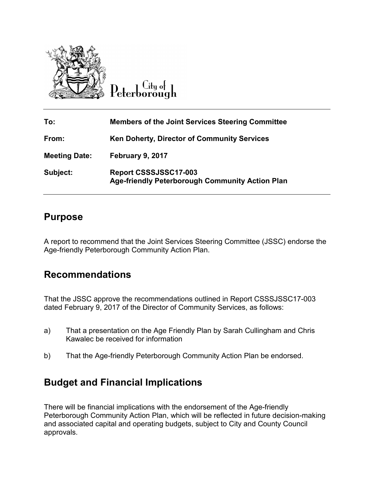

ú µdi D<sub>eterborough</sub>

| To:                  | <b>Members of the Joint Services Steering Committee</b>                         |
|----------------------|---------------------------------------------------------------------------------|
| From:                | <b>Ken Doherty, Director of Community Services</b>                              |
| <b>Meeting Date:</b> | February 9, 2017                                                                |
| Subject:             | Report CSSSJSSC17-003<br><b>Age-friendly Peterborough Community Action Plan</b> |

### **Purpose**

A report to recommend that the Joint Services Steering Committee (JSSC) endorse the Age-friendly Peterborough Community Action Plan.

## **Recommendations**

That the JSSC approve the recommendations outlined in Report CSSSJSSC17-003 dated February 9, 2017 of the Director of Community Services, as follows:

- a) That a presentation on the Age Friendly Plan by Sarah Cullingham and Chris Kawalec be received for information
- b) That the Age-friendly Peterborough Community Action Plan be endorsed.

# **Budget and Financial Implications**

There will be financial implications with the endorsement of the Age-friendly Peterborough Community Action Plan, which will be reflected in future decision-making and associated capital and operating budgets, subject to City and County Council approvals.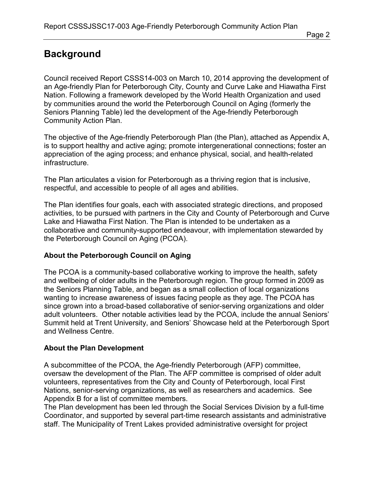# **Background**

Council received Report CSSS14-003 on March 10, 2014 approving the development of an Age-friendly Plan for Peterborough City, County and Curve Lake and Hiawatha First Nation. Following a framework developed by the World Health Organization and used by communities around the world the Peterborough Council on Aging (formerly the Seniors Planning Table) led the development of the Age-friendly Peterborough Community Action Plan.

The objective of the Age-friendly Peterborough Plan (the Plan), attached as Appendix A, is to support healthy and active aging; promote intergenerational connections; foster an appreciation of the aging process; and enhance physical, social, and health-related infrastructure.

The Plan articulates a vision for Peterborough as a thriving region that is inclusive, respectful, and accessible to people of all ages and abilities.

The Plan identifies four goals, each with associated strategic directions, and proposed activities, to be pursued with partners in the City and County of Peterborough and Curve Lake and Hiawatha First Nation. The Plan is intended to be undertaken as a collaborative and community-supported endeavour, with implementation stewarded by the Peterborough Council on Aging (PCOA).

### **About the Peterborough Council on Aging**

The PCOA is a community-based collaborative working to improve the health, safety and wellbeing of older adults in the Peterborough region. The group formed in 2009 as the Seniors Planning Table, and began as a small collection of local organizations wanting to increase awareness of issues facing people as they age. The PCOA has since grown into a broad-based collaborative of senior-serving organizations and older adult volunteers. Other notable activities lead by the PCOA, include the annual Seniors' Summit held at Trent University, and Seniors' Showcase held at the Peterborough Sport and Wellness Centre.

### **About the Plan Development**

A subcommittee of the PCOA, the Age-friendly Peterborough (AFP) committee, oversaw the development of the Plan. The AFP committee is comprised of older adult volunteers, representatives from the City and County of Peterborough, local First Nations, senior-serving organizations, as well as researchers and academics. See Appendix B for a list of committee members.

The Plan development has been led through the Social Services Division by a full-time Coordinator, and supported by several part-time research assistants and administrative staff. The Municipality of Trent Lakes provided administrative oversight for project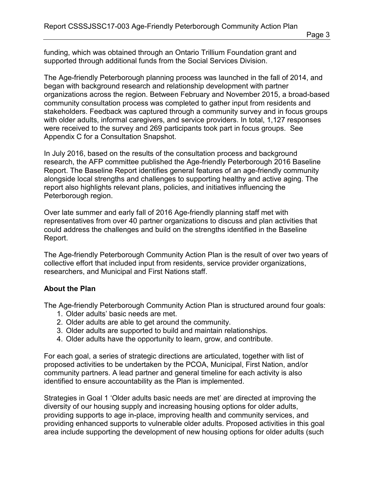funding, which was obtained through an Ontario Trillium Foundation grant and supported through additional funds from the Social Services Division.

The Age-friendly Peterborough planning process was launched in the fall of 2014, and began with background research and relationship development with partner organizations across the region. Between February and November 2015, a broad-based community consultation process was completed to gather input from residents and stakeholders. Feedback was captured through a community survey and in focus groups with older adults, informal caregivers, and service providers. In total, 1,127 responses were received to the survey and 269 participants took part in focus groups. See Appendix C for a Consultation Snapshot.

In July 2016, based on the results of the consultation process and background research, the AFP committee published the Age-friendly Peterborough 2016 Baseline Report. The Baseline Report identifies general features of an age-friendly community alongside local strengths and challenges to supporting healthy and active aging. The report also highlights relevant plans, policies, and initiatives influencing the Peterborough region.

Over late summer and early fall of 2016 Age-friendly planning staff met with representatives from over 40 partner organizations to discuss and plan activities that could address the challenges and build on the strengths identified in the Baseline Report.

The Age-friendly Peterborough Community Action Plan is the result of over two years of collective effort that included input from residents, service provider organizations, researchers, and Municipal and First Nations staff.

#### **About the Plan**

The Age-friendly Peterborough Community Action Plan is structured around four goals:

- 1. Older adults' basic needs are met.
- 2. Older adults are able to get around the community.
- 3. Older adults are supported to build and maintain relationships.
- 4. Older adults have the opportunity to learn, grow, and contribute.

For each goal, a series of strategic directions are articulated, together with list of proposed activities to be undertaken by the PCOA, Municipal, First Nation, and/or community partners. A lead partner and general timeline for each activity is also identified to ensure accountability as the Plan is implemented.

Strategies in Goal 1 'Older adults basic needs are met' are directed at improving the diversity of our housing supply and increasing housing options for older adults, providing supports to age in-place, improving health and community services, and providing enhanced supports to vulnerable older adults. Proposed activities in this goal area include supporting the development of new housing options for older adults (such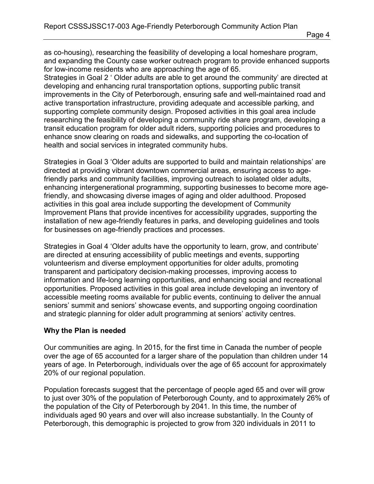as co-housing), researching the feasibility of developing a local homeshare program, and expanding the County case worker outreach program to provide enhanced supports for low-income residents who are approaching the age of 65.

Strategies in Goal 2 ' Older adults are able to get around the community' are directed at developing and enhancing rural transportation options, supporting public transit improvements in the City of Peterborough, ensuring safe and well-maintained road and active transportation infrastructure, providing adequate and accessible parking, and supporting complete community design. Proposed activities in this goal area include researching the feasibility of developing a community ride share program, developing a transit education program for older adult riders, supporting policies and procedures to enhance snow clearing on roads and sidewalks, and supporting the co-location of health and social services in integrated community hubs.

Strategies in Goal 3 'Older adults are supported to build and maintain relationships' are directed at providing vibrant downtown commercial areas, ensuring access to agefriendly parks and community facilities, improving outreach to isolated older adults, enhancing intergenerational programming, supporting businesses to become more agefriendly, and showcasing diverse images of aging and older adulthood. Proposed activities in this goal area include supporting the development of Community Improvement Plans that provide incentives for accessibility upgrades, supporting the installation of new age-friendly features in parks, and developing guidelines and tools for businesses on age-friendly practices and processes.

Strategies in Goal 4 'Older adults have the opportunity to learn, grow, and contribute' are directed at ensuring accessibility of public meetings and events, supporting volunteerism and diverse employment opportunities for older adults, promoting transparent and participatory decision-making processes, improving access to information and life-long learning opportunities, and enhancing social and recreational opportunities. Proposed activities in this goal area include developing an inventory of accessible meeting rooms available for public events, continuing to deliver the annual seniors' summit and seniors' showcase events, and supporting ongoing coordination and strategic planning for older adult programming at seniors' activity centres.

#### **Why the Plan is needed**

Our communities are aging. In 2015, for the first time in Canada the number of people over the age of 65 accounted for a larger share of the population than children under 14 years of age. In Peterborough, individuals over the age of 65 account for approximately 20% of our regional population.

Population forecasts suggest that the percentage of people aged 65 and over will grow to just over 30% of the population of Peterborough County, and to approximately 26% of the population of the City of Peterborough by 2041. In this time, the number of individuals aged 90 years and over will also increase substantially. In the County of Peterborough, this demographic is projected to grow from 320 individuals in 2011 to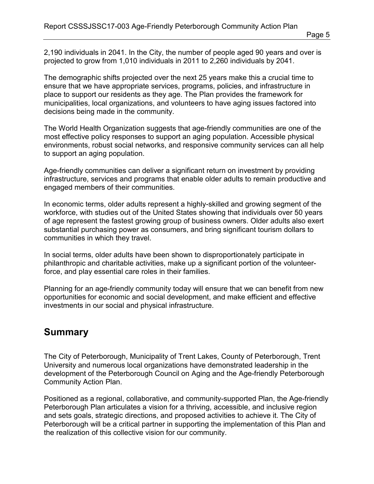The demographic shifts projected over the next 25 years make this a crucial time to ensure that we have appropriate services, programs, policies, and infrastructure in place to support our residents as they age. The Plan provides the framework for municipalities, local organizations, and volunteers to have aging issues factored into decisions being made in the community.

The World Health Organization suggests that age-friendly communities are one of the most effective policy responses to support an aging population. Accessible physical environments, robust social networks, and responsive community services can all help to support an aging population.

Age-friendly communities can deliver a significant return on investment by providing infrastructure, services and programs that enable older adults to remain productive and engaged members of their communities.

In economic terms, older adults represent a highly-skilled and growing segment of the workforce, with studies out of the United States showing that individuals over 50 years of age represent the fastest growing group of business owners. Older adults also exert substantial purchasing power as consumers, and bring significant tourism dollars to communities in which they travel.

In social terms, older adults have been shown to disproportionately participate in philanthropic and charitable activities, make up a significant portion of the volunteerforce, and play essential care roles in their families.

Planning for an age-friendly community today will ensure that we can benefit from new opportunities for economic and social development, and make efficient and effective investments in our social and physical infrastructure.

## **Summary**

The City of Peterborough, Municipality of Trent Lakes, County of Peterborough, Trent University and numerous local organizations have demonstrated leadership in the development of the Peterborough Council on Aging and the Age-friendly Peterborough Community Action Plan.

Positioned as a regional, collaborative, and community-supported Plan, the Age-friendly Peterborough Plan articulates a vision for a thriving, accessible, and inclusive region and sets goals, strategic directions, and proposed activities to achieve it. The City of Peterborough will be a critical partner in supporting the implementation of this Plan and the realization of this collective vision for our community.